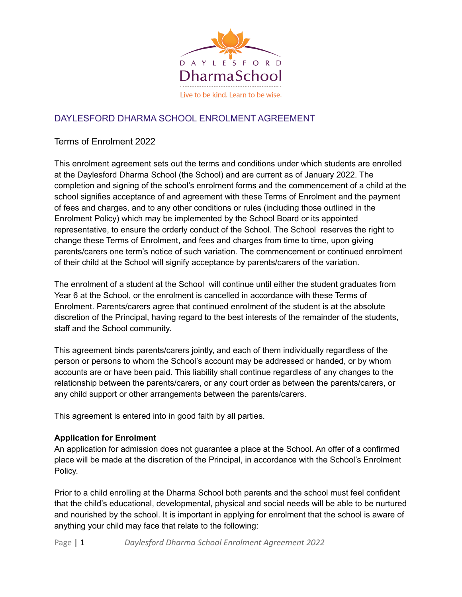

# DAYLESFORD DHARMA SCHOOL ENROLMENT AGREEMENT

#### Terms of Enrolment 2022

This enrolment agreement sets out the terms and conditions under which students are enrolled at the Daylesford Dharma School (the School) and are current as of January 2022. The completion and signing of the school's enrolment forms and the commencement of a child at the school signifies acceptance of and agreement with these Terms of Enrolment and the payment of fees and charges, and to any other conditions or rules (including those outlined in the Enrolment Policy) which may be implemented by the School Board or its appointed representative, to ensure the orderly conduct of the School. The School reserves the right to change these Terms of Enrolment, and fees and charges from time to time, upon giving parents/carers one term's notice of such variation. The commencement or continued enrolment of their child at the School will signify acceptance by parents/carers of the variation.

The enrolment of a student at the School will continue until either the student graduates from Year 6 at the School, or the enrolment is cancelled in accordance with these Terms of Enrolment. Parents/carers agree that continued enrolment of the student is at the absolute discretion of the Principal, having regard to the best interests of the remainder of the students, staff and the School community.

This agreement binds parents/carers jointly, and each of them individually regardless of the person or persons to whom the School's account may be addressed or handed, or by whom accounts are or have been paid. This liability shall continue regardless of any changes to the relationship between the parents/carers, or any court order as between the parents/carers, or any child support or other arrangements between the parents/carers.

This agreement is entered into in good faith by all parties.

#### **Application for Enrolment**

An application for admission does not guarantee a place at the School. An offer of a confirmed place will be made at the discretion of the Principal, in accordance with the School's Enrolment Policy.

Prior to a child enrolling at the Dharma School both parents and the school must feel confident that the child's educational, developmental, physical and social needs will be able to be nurtured and nourished by the school. It is important in applying for enrolment that the school is aware of anything your child may face that relate to the following: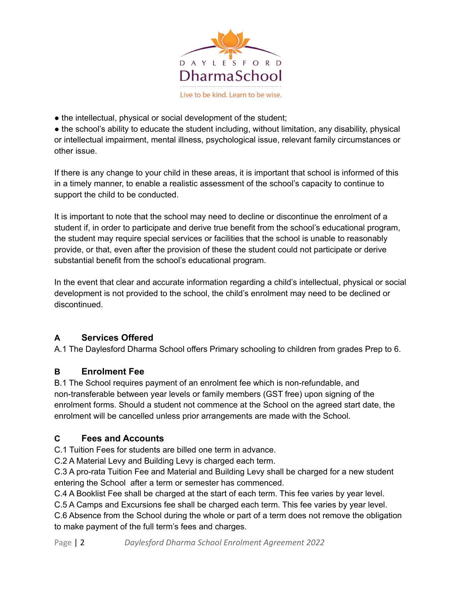

• the intellectual, physical or social development of the student;

• the school's ability to educate the student including, without limitation, any disability, physical or intellectual impairment, mental illness, psychological issue, relevant family circumstances or other issue.

If there is any change to your child in these areas, it is important that school is informed of this in a timely manner, to enable a realistic assessment of the school's capacity to continue to support the child to be conducted.

It is important to note that the school may need to decline or discontinue the enrolment of a student if, in order to participate and derive true benefit from the school's educational program, the student may require special services or facilities that the school is unable to reasonably provide, or that, even after the provision of these the student could not participate or derive substantial benefit from the school's educational program.

In the event that clear and accurate information regarding a child's intellectual, physical or social development is not provided to the school, the child's enrolment may need to be declined or discontinued.

# **A Services Offered**

A.1 The Daylesford Dharma School offers Primary schooling to children from grades Prep to 6.

### **B Enrolment Fee**

B.1 The School requires payment of an enrolment fee which is non-refundable, and non-transferable between year levels or family members (GST free) upon signing of the enrolment forms. Should a student not commence at the School on the agreed start date, the enrolment will be cancelled unless prior arrangements are made with the School.

### **C Fees and Accounts**

C.1 Tuition Fees for students are billed one term in advance.

C.2 A Material Levy and Building Levy is charged each term.

C.3 A pro-rata Tuition Fee and Material and Building Levy shall be charged for a new student entering the School after a term or semester has commenced.

C.4 A Booklist Fee shall be charged at the start of each term. This fee varies by year level.

C.5 A Camps and Excursions fee shall be charged each term. This fee varies by year level.

C.6 Absence from the School during the whole or part of a term does not remove the obligation to make payment of the full term's fees and charges.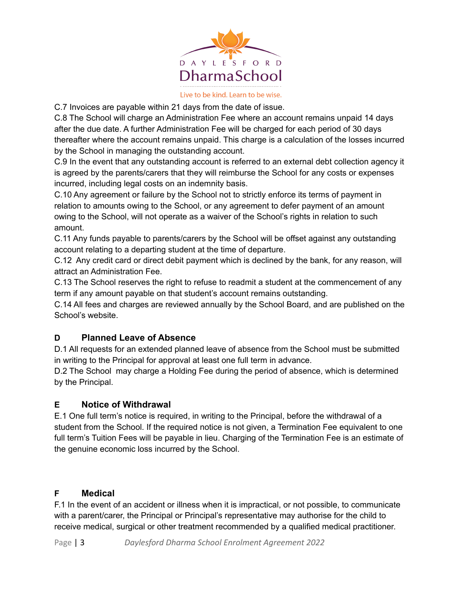

Live to be kind. Learn to be wise.

C.7 Invoices are payable within 21 days from the date of issue.

C.8 The School will charge an Administration Fee where an account remains unpaid 14 days after the due date. A further Administration Fee will be charged for each period of 30 days thereafter where the account remains unpaid. This charge is a calculation of the losses incurred by the School in managing the outstanding account.

C.9 In the event that any outstanding account is referred to an external debt collection agency it is agreed by the parents/carers that they will reimburse the School for any costs or expenses incurred, including legal costs on an indemnity basis.

C.10 Any agreement or failure by the School not to strictly enforce its terms of payment in relation to amounts owing to the School, or any agreement to defer payment of an amount owing to the School, will not operate as a waiver of the School's rights in relation to such amount.

C.11 Any funds payable to parents/carers by the School will be offset against any outstanding account relating to a departing student at the time of departure.

C.12 Any credit card or direct debit payment which is declined by the bank, for any reason, will attract an Administration Fee.

C.13 The School reserves the right to refuse to readmit a student at the commencement of any term if any amount payable on that student's account remains outstanding.

C.14 All fees and charges are reviewed annually by the School Board, and are published on the School's website.

### **D Planned Leave of Absence**

D.1 All requests for an extended planned leave of absence from the School must be submitted in writing to the Principal for approval at least one full term in advance.

D.2 The School may charge a Holding Fee during the period of absence, which is determined by the Principal.

### **E Notice of Withdrawal**

E.1 One full term's notice is required, in writing to the Principal, before the withdrawal of a student from the School. If the required notice is not given, a Termination Fee equivalent to one full term's Tuition Fees will be payable in lieu. Charging of the Termination Fee is an estimate of the genuine economic loss incurred by the School.

### **F Medical**

F.1 In the event of an accident or illness when it is impractical, or not possible, to communicate with a parent/carer, the Principal or Principal's representative may authorise for the child to receive medical, surgical or other treatment recommended by a qualified medical practitioner.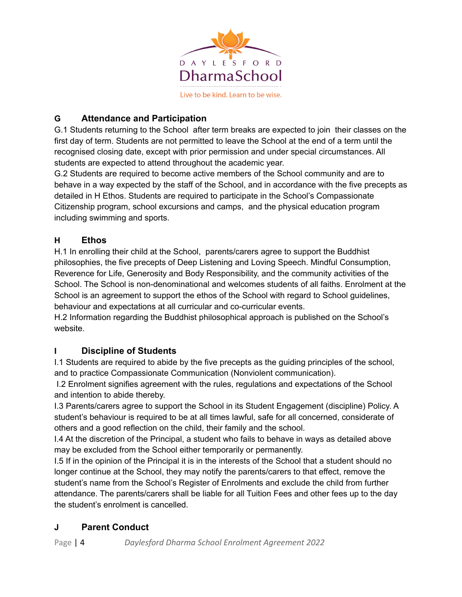

# **G Attendance and Participation**

G.1 Students returning to the School after term breaks are expected to join their classes on the first day of term. Students are not permitted to leave the School at the end of a term until the recognised closing date, except with prior permission and under special circumstances. All students are expected to attend throughout the academic year.

G.2 Students are required to become active members of the School community and are to behave in a way expected by the staff of the School, and in accordance with the five precepts as detailed in H Ethos. Students are required to participate in the School's Compassionate Citizenship program, school excursions and camps, and the physical education program including swimming and sports.

### **H Ethos**

H.1 In enrolling their child at the School, parents/carers agree to support the Buddhist philosophies, the five precepts of Deep Listening and Loving Speech. Mindful Consumption, Reverence for Life, Generosity and Body Responsibility, and the community activities of the School. The School is non-denominational and welcomes students of all faiths. Enrolment at the School is an agreement to support the ethos of the School with regard to School guidelines, behaviour and expectations at all curricular and co-curricular events.

H.2 Information regarding the Buddhist philosophical approach is published on the School's website.

### **I Discipline of Students**

I.1 Students are required to abide by the five precepts as the guiding principles of the school, and to practice Compassionate Communication (Nonviolent communication).

I.2 Enrolment signifies agreement with the rules, regulations and expectations of the School and intention to abide thereby.

I.3 Parents/carers agree to support the School in its Student Engagement (discipline) Policy. A student's behaviour is required to be at all times lawful, safe for all concerned, considerate of others and a good reflection on the child, their family and the school.

I.4 At the discretion of the Principal, a student who fails to behave in ways as detailed above may be excluded from the School either temporarily or permanently.

I.5 If in the opinion of the Principal it is in the interests of the School that a student should no longer continue at the School, they may notify the parents/carers to that effect, remove the student's name from the School's Register of Enrolments and exclude the child from further attendance. The parents/carers shall be liable for all Tuition Fees and other fees up to the day the student's enrolment is cancelled.

# **J Parent Conduct**

Page | 4 *Daylesford Dharma School Enrolment Agreement 2022*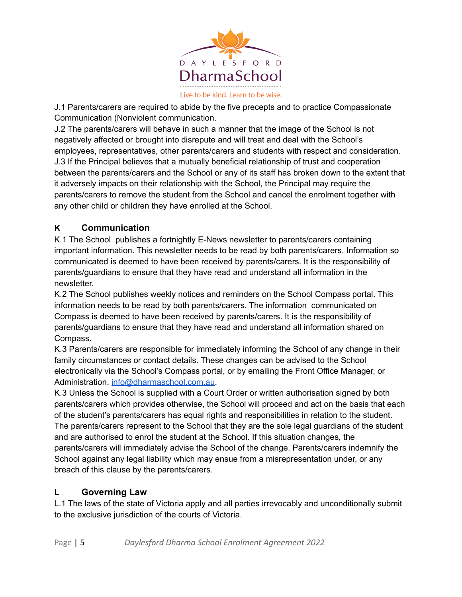

J.1 Parents/carers are required to abide by the five precepts and to practice Compassionate Communication (Nonviolent communication.

J.2 The parents/carers will behave in such a manner that the image of the School is not negatively affected or brought into disrepute and will treat and deal with the School's employees, representatives, other parents/carers and students with respect and consideration. J.3 If the Principal believes that a mutually beneficial relationship of trust and cooperation between the parents/carers and the School or any of its staff has broken down to the extent that it adversely impacts on their relationship with the School, the Principal may require the parents/carers to remove the student from the School and cancel the enrolment together with any other child or children they have enrolled at the School.

# **K Communication**

K.1 The School publishes a fortnightly E-News newsletter to parents/carers containing important information. This newsletter needs to be read by both parents/carers. Information so communicated is deemed to have been received by parents/carers. It is the responsibility of parents/guardians to ensure that they have read and understand all information in the newsletter.

K.2 The School publishes weekly notices and reminders on the School Compass portal. This information needs to be read by both parents/carers. The information communicated on Compass is deemed to have been received by parents/carers. It is the responsibility of parents/guardians to ensure that they have read and understand all information shared on Compass.

K.3 Parents/carers are responsible for immediately informing the School of any change in their family circumstances or contact details. These changes can be advised to the School electronically via the School's Compass portal, or by emailing the Front Office Manager, or Administration. [info@dharmaschool.com.au.](mailto:info@dharmaschool.com.au)

K.3 Unless the School is supplied with a Court Order or written authorisation signed by both parents/carers which provides otherwise, the School will proceed and act on the basis that each of the student's parents/carers has equal rights and responsibilities in relation to the student. The parents/carers represent to the School that they are the sole legal guardians of the student and are authorised to enrol the student at the School. If this situation changes, the parents/carers will immediately advise the School of the change. Parents/carers indemnify the School against any legal liability which may ensue from a misrepresentation under, or any breach of this clause by the parents/carers.

### **L Governing Law**

L.1 The laws of the state of Victoria apply and all parties irrevocably and unconditionally submit to the exclusive jurisdiction of the courts of Victoria.